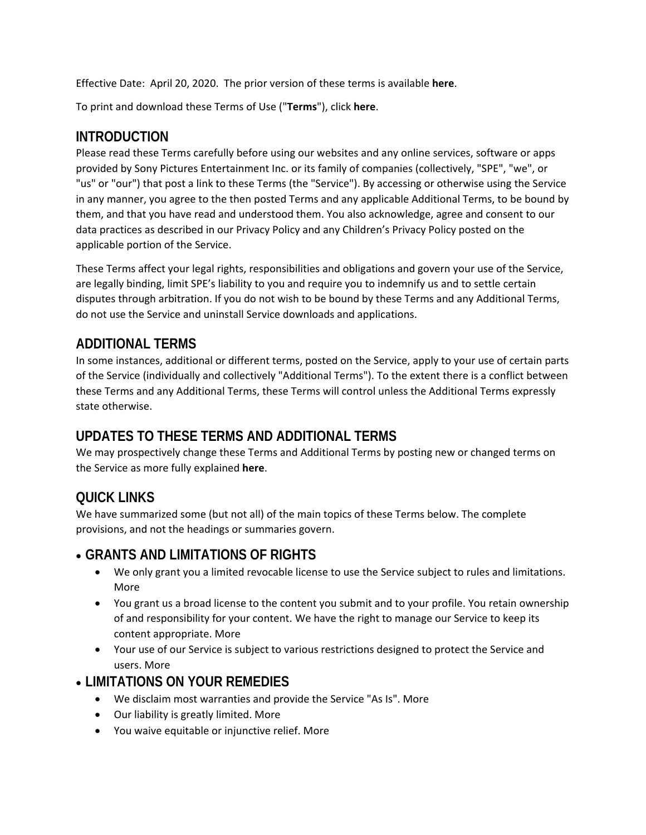Effective Date: April 20, 2020. The prior version of these terms is available **[here](https://www.sonypictures.com/corp/tos_priorversion.html)**.

To print and download these Terms of Use ("**Terms**"), click **[here](https://www.sonypictures.com/corp/pdfs/tos.pdf)**.

## **INTRODUCTION**

Please read these Terms carefully before using our websites and any online services, software or apps provided by Sony Pictures Entertainment Inc. or its family of companies (collectively, "SPE", "we", or "us" or "our") that post a link to these Terms (the "Service"). By accessing or otherwise using the Service in any manner, you agree to the then posted Terms and any applicable Additional Terms, to be bound by them, and that you have read and understood them. You also acknowledge, agree and consent to our data practices as described in our [Privacy Policy](https://www.sonypictures.com/corp/privacy.html) and any Children's Privacy Policy posted on the applicable portion of the Service.

These Terms affect your legal rights, responsibilities and obligations and govern your use of the Service, are legally binding, limit SPE's liability to you and require you to indemnify us and to settle certain disputes through arbitration. If you do not wish to be bound by these Terms and any Additional Terms, do not use the Service and uninstall Service downloads and applications.

# **ADDITIONAL TERMS**

In some instances, additional or different terms, posted on the Service, apply to your use of certain parts of the Service (individually and collectively "Additional Terms"). To the extent there is a conflict between these Terms and any Additional Terms, these Terms will control unless the Additional Terms expressly state otherwise.

# **UPDATES TO THESE TERMS AND ADDITIONAL TERMS**

We may prospectively change these Terms and Additional Terms by posting new or changed terms on the Service as more fully explained **[here](https://www.sonypictures.com/corp/tos.html#general-provisions)**.

# **QUICK LINKS**

We have summarized some (but not all) of the main topics of these Terms below. The complete provisions, and not the headings or summaries govern.

### • **GRANTS AND LIMITATIONS OF RIGHTS**

- We only grant you a limited revocable license to use the Service subject to rules and limitations. [More](https://www.sonypictures.com/corp/tos.html#ownership)
- You grant us a broad license to the content you submit and to your profile. You retain ownership of and responsibility for your content. We have the right to manage our Service to keep its content appropriate[. More](https://www.sonypictures.com/corp/tos.html#content-you-submit)
- Your use of our Service is subject to various restrictions designed to protect the Service and users. [More](https://www.sonypictures.com/corp/tos.html#restrictions)

### • **LIMITATIONS ON YOUR REMEDIES**

- We disclaim most warranties and provide the Service "As Is". [More](https://www.sonypictures.com/corp/tos.html#disclaimer-of-representations)
- Our liability is greatly limited. [More](https://www.sonypictures.com/corp/tos.html#limitations-liability)
- You waive equitable or injunctive relief[. More](https://www.sonypictures.com/corp/tos.html#section9D)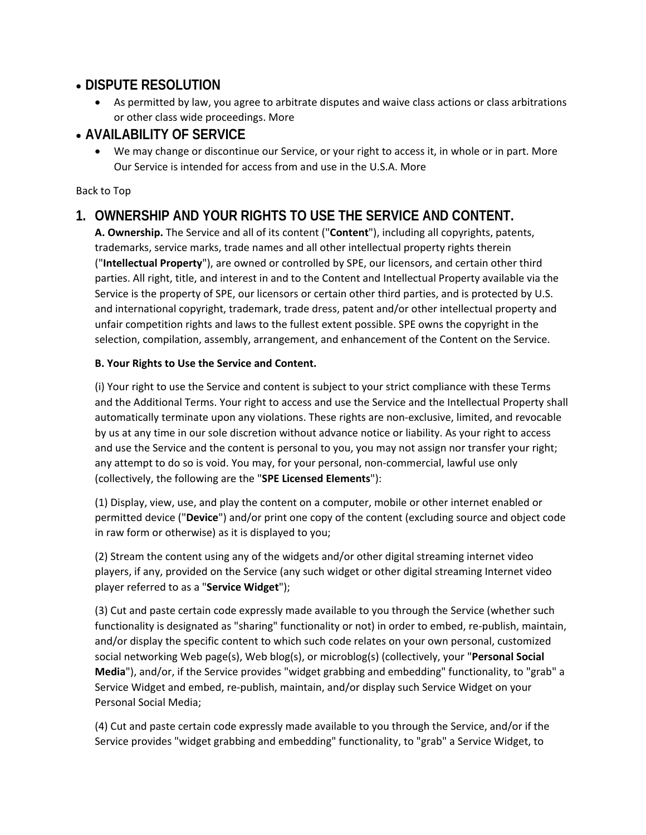### • **DISPUTE RESOLUTION**

• As permitted by law, you agree to arbitrate disputes and waive class actions or class arbitrations or other class wide proceedings[. More](https://www.sonypictures.com/corp/tos.html#disputes)

### • **AVAILABILITY OF SERVICE**

• We may change or discontinue our Service, or your right to access it, in whole or in part. [More](https://www.sonypictures.com/corp/tos.html#section3C) Our Service is intended for access from and use in the U.S.A[. More](https://www.sonypictures.com/corp/tos.html#section13d)

[Back to Top](https://www.sonypictures.com/corp/tos.html#backtotop)

# **1. OWNERSHIP AND YOUR RIGHTS TO USE THE SERVICE AND CONTENT.**

**A. Ownership.** The Service and all of its content ("**Content**"), including all copyrights, patents, trademarks, service marks, trade names and all other intellectual property rights therein ("**Intellectual Property**"), are owned or controlled by SPE, our licensors, and certain other third parties. All right, title, and interest in and to the Content and Intellectual Property available via the Service is the property of SPE, our licensors or certain other third parties, and is protected by U.S. and international copyright, trademark, trade dress, patent and/or other intellectual property and unfair competition rights and laws to the fullest extent possible. SPE owns the copyright in the selection, compilation, assembly, arrangement, and enhancement of the Content on the Service.

#### **B. Your Rights to Use the Service and Content.**

(i) Your right to use the Service and content is subject to your strict compliance with these Terms and the Additional Terms. Your right to access and use the Service and the Intellectual Property shall automatically terminate upon any violations. These rights are non-exclusive, limited, and revocable by us at any time in our sole discretion without advance notice or liability. As your right to access and use the Service and the content is personal to you, you may not assign nor transfer your right; any attempt to do so is void. You may, for your personal, non-commercial, lawful use only (collectively, the following are the "**SPE Licensed Elements**"):

(1) Display, view, use, and play the content on a computer, mobile or other internet enabled or permitted device ("**Device**") and/or print one copy of the content (excluding source and object code in raw form or otherwise) as it is displayed to you;

(2) Stream the content using any of the widgets and/or other digital streaming internet video players, if any, provided on the Service (any such widget or other digital streaming Internet video player referred to as a "**Service Widget**");

(3) Cut and paste certain code expressly made available to you through the Service (whether such functionality is designated as "sharing" functionality or not) in order to embed, re-publish, maintain, and/or display the specific content to which such code relates on your own personal, customized social networking Web page(s), Web blog(s), or microblog(s) (collectively, your "**Personal Social Media**"), and/or, if the Service provides "widget grabbing and embedding" functionality, to "grab" a Service Widget and embed, re-publish, maintain, and/or display such Service Widget on your Personal Social Media;

(4) Cut and paste certain code expressly made available to you through the Service, and/or if the Service provides "widget grabbing and embedding" functionality, to "grab" a Service Widget, to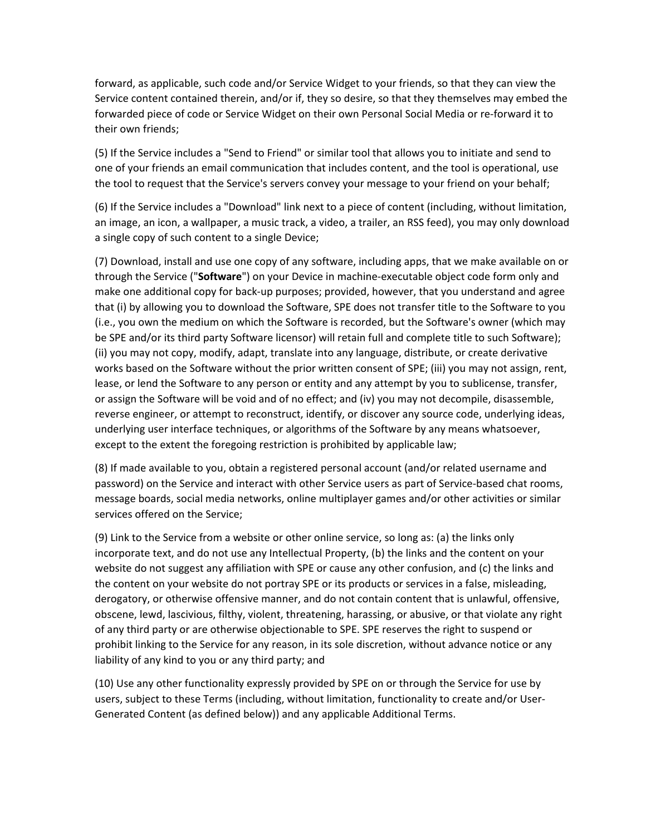forward, as applicable, such code and/or Service Widget to your friends, so that they can view the Service content contained therein, and/or if, they so desire, so that they themselves may embed the forwarded piece of code or Service Widget on their own Personal Social Media or re-forward it to their own friends;

(5) If the Service includes a "Send to Friend" or similar tool that allows you to initiate and send to one of your friends an email communication that includes content, and the tool is operational, use the tool to request that the Service's servers convey your message to your friend on your behalf;

(6) If the Service includes a "Download" link next to a piece of content (including, without limitation, an image, an icon, a wallpaper, a music track, a video, a trailer, an RSS feed), you may only download a single copy of such content to a single Device;

(7) Download, install and use one copy of any software, including apps, that we make available on or through the Service ("**Software**") on your Device in machine-executable object code form only and make one additional copy for back-up purposes; provided, however, that you understand and agree that (i) by allowing you to download the Software, SPE does not transfer title to the Software to you (i.e., you own the medium on which the Software is recorded, but the Software's owner (which may be SPE and/or its third party Software licensor) will retain full and complete title to such Software); (ii) you may not copy, modify, adapt, translate into any language, distribute, or create derivative works based on the Software without the prior written consent of SPE; (iii) you may not assign, rent, lease, or lend the Software to any person or entity and any attempt by you to sublicense, transfer, or assign the Software will be void and of no effect; and (iv) you may not decompile, disassemble, reverse engineer, or attempt to reconstruct, identify, or discover any source code, underlying ideas, underlying user interface techniques, or algorithms of the Software by any means whatsoever, except to the extent the foregoing restriction is prohibited by applicable law;

(8) If made available to you, obtain a registered personal account (and/or related username and password) on the Service and interact with other Service users as part of Service-based chat rooms, message boards, social media networks, online multiplayer games and/or other activities or similar services offered on the Service;

(9) Link to the Service from a website or other online service, so long as: (a) the links only incorporate text, and do not use any Intellectual Property, (b) the links and the content on your website do not suggest any affiliation with SPE or cause any other confusion, and (c) the links and the content on your website do not portray SPE or its products or services in a false, misleading, derogatory, or otherwise offensive manner, and do not contain content that is unlawful, offensive, obscene, lewd, lascivious, filthy, violent, threatening, harassing, or abusive, or that violate any right of any third party or are otherwise objectionable to SPE. SPE reserves the right to suspend or prohibit linking to the Service for any reason, in its sole discretion, without advance notice or any liability of any kind to you or any third party; and

(10) Use any other functionality expressly provided by SPE on or through the Service for use by users, subject to these Terms (including, without limitation, functionality to create and/or User-Generated Content (as defined below)) and any applicable Additional Terms.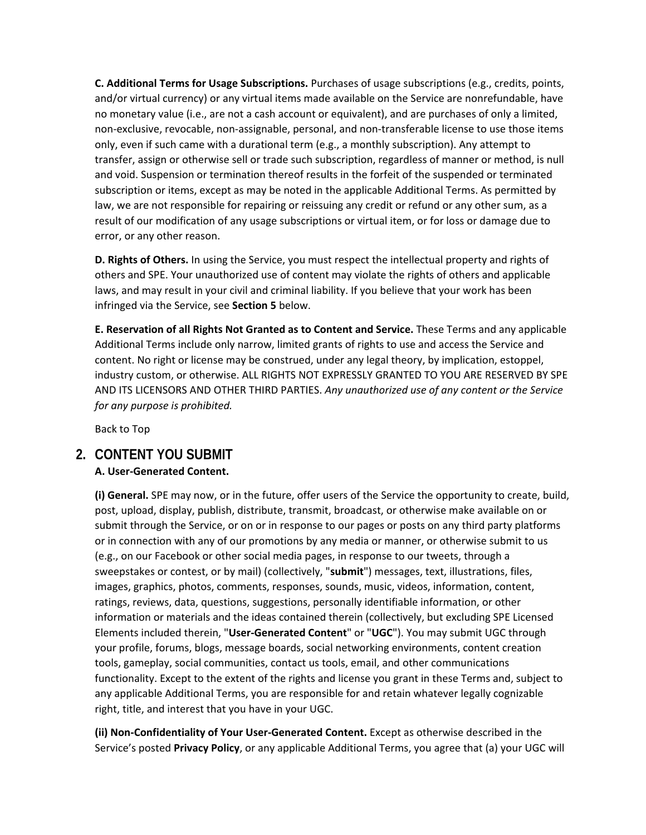**C. Additional Terms for Usage Subscriptions.** Purchases of usage subscriptions (e.g., credits, points, and/or virtual currency) or any virtual items made available on the Service are nonrefundable, have no monetary value (i.e., are not a cash account or equivalent), and are purchases of only a limited, non-exclusive, revocable, non-assignable, personal, and non-transferable license to use those items only, even if such came with a durational term (e.g., a monthly subscription). Any attempt to transfer, assign or otherwise sell or trade such subscription, regardless of manner or method, is null and void. Suspension or termination thereof results in the forfeit of the suspended or terminated subscription or items, except as may be noted in the applicable Additional Terms. As permitted by law, we are not responsible for repairing or reissuing any credit or refund or any other sum, as a result of our modification of any usage subscriptions or virtual item, or for loss or damage due to error, or any other reason.

**D. Rights of Others.** In using the Service, you must respect the intellectual property and rights of others and SPE. Your unauthorized use of content may violate the rights of others and applicable laws, and may result in your civil and criminal liability. If you believe that your work has been infringed via the Service, see **[Section 5](https://www.sonypictures.com/corp/tos.html#procedure-alleging-copyright)** below.

**E. Reservation of all Rights Not Granted as to Content and Service.** These Terms and any applicable Additional Terms include only narrow, limited grants of rights to use and access the Service and content. No right or license may be construed, under any legal theory, by implication, estoppel, industry custom, or otherwise. ALL RIGHTS NOT EXPRESSLY GRANTED TO YOU ARE RESERVED BY SPE AND ITS LICENSORS AND OTHER THIRD PARTIES. *Any unauthorized use of any content or the Service for any purpose is prohibited.*

[Back to Top](https://www.sonypictures.com/corp/tos.html#backtotop)

#### **2. CONTENT YOU SUBMIT A. User-Generated Content.**

**(i) General.** SPE may now, or in the future, offer users of the Service the opportunity to create, build, post, upload, display, publish, distribute, transmit, broadcast, or otherwise make available on or submit through the Service, or on or in response to our pages or posts on any third party platforms or in connection with any of our promotions by any media or manner, or otherwise submit to us (e.g., on our Facebook or other social media pages, in response to our tweets, through a sweepstakes or contest, or by mail) (collectively, "**submit**") messages, text, illustrations, files, images, graphics, photos, comments, responses, sounds, music, videos, information, content, ratings, reviews, data, questions, suggestions, personally identifiable information, or other information or materials and the ideas contained therein (collectively, but excluding SPE Licensed Elements included therein, "**User-Generated Content**" or "**UGC**"). You may submit UGC through your profile, forums, blogs, message boards, social networking environments, content creation tools, gameplay, social communities, contact us tools, email, and other communications functionality. Except to the extent of the rights and license you grant in these Terms and, subject to any applicable Additional Terms, you are responsible for and retain whatever legally cognizable right, title, and interest that you have in your UGC.

**(ii) Non-Confidentiality of Your User-Generated Content.** Except as otherwise described in the Service's posted **[Privacy Policy](https://www.sonypictures.com/corp/privacy.html)**, or any applicable Additional Terms, you agree that (a) your UGC will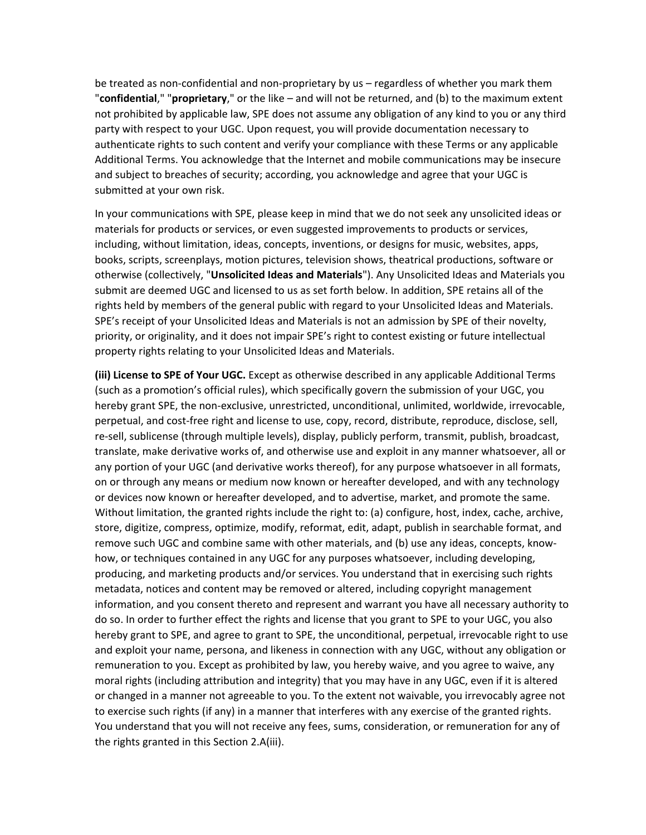be treated as non-confidential and non-proprietary by us – regardless of whether you mark them "**confidential**," "**proprietary**," or the like – and will not be returned, and (b) to the maximum extent not prohibited by applicable law, SPE does not assume any obligation of any kind to you or any third party with respect to your UGC. Upon request, you will provide documentation necessary to authenticate rights to such content and verify your compliance with these Terms or any applicable Additional Terms. You acknowledge that the Internet and mobile communications may be insecure and subject to breaches of security; according, you acknowledge and agree that your UGC is submitted at your own risk.

In your communications with SPE, please keep in mind that we do not seek any unsolicited ideas or materials for products or services, or even suggested improvements to products or services, including, without limitation, ideas, concepts, inventions, or designs for music, websites, apps, books, scripts, screenplays, motion pictures, television shows, theatrical productions, software or otherwise (collectively, "**Unsolicited Ideas and Materials**"). Any Unsolicited Ideas and Materials you submit are deemed UGC and licensed to us as set forth below. In addition, SPE retains all of the rights held by members of the general public with regard to your Unsolicited Ideas and Materials. SPE's receipt of your Unsolicited Ideas and Materials is not an admission by SPE of their novelty, priority, or originality, and it does not impair SPE's right to contest existing or future intellectual property rights relating to your Unsolicited Ideas and Materials.

**(iii) License to SPE of Your UGC.** Except as otherwise described in any applicable Additional Terms (such as a promotion's official rules), which specifically govern the submission of your UGC, you hereby grant SPE, the non-exclusive, unrestricted, unconditional, unlimited, worldwide, irrevocable, perpetual, and cost-free right and license to use, copy, record, distribute, reproduce, disclose, sell, re-sell, sublicense (through multiple levels), display, publicly perform, transmit, publish, broadcast, translate, make derivative works of, and otherwise use and exploit in any manner whatsoever, all or any portion of your UGC (and derivative works thereof), for any purpose whatsoever in all formats, on or through any means or medium now known or hereafter developed, and with any technology or devices now known or hereafter developed, and to advertise, market, and promote the same. Without limitation, the granted rights include the right to: (a) configure, host, index, cache, archive, store, digitize, compress, optimize, modify, reformat, edit, adapt, publish in searchable format, and remove such UGC and combine same with other materials, and (b) use any ideas, concepts, knowhow, or techniques contained in any UGC for any purposes whatsoever, including developing, producing, and marketing products and/or services. You understand that in exercising such rights metadata, notices and content may be removed or altered, including copyright management information, and you consent thereto and represent and warrant you have all necessary authority to do so. In order to further effect the rights and license that you grant to SPE to your UGC, you also hereby grant to SPE, and agree to grant to SPE, the unconditional, perpetual, irrevocable right to use and exploit your name, persona, and likeness in connection with any UGC, without any obligation or remuneration to you. Except as prohibited by law, you hereby waive, and you agree to waive, any moral rights (including attribution and integrity) that you may have in any UGC, even if it is altered or changed in a manner not agreeable to you. To the extent not waivable, you irrevocably agree not to exercise such rights (if any) in a manner that interferes with any exercise of the granted rights. You understand that you will not receive any fees, sums, consideration, or remuneration for any of the rights granted in this Section 2.A(iii).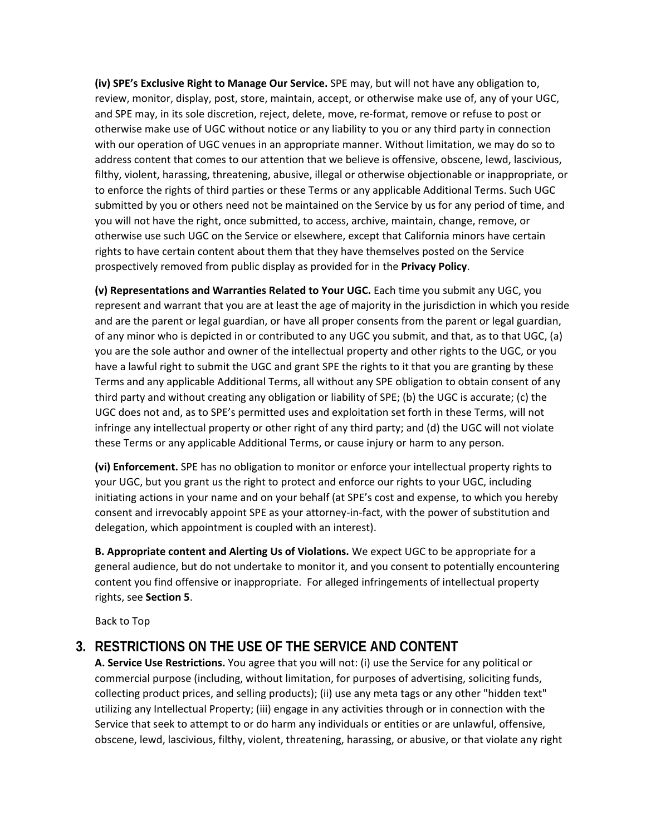**(iv) SPE's Exclusive Right to Manage Our Service.** SPE may, but will not have any obligation to, review, monitor, display, post, store, maintain, accept, or otherwise make use of, any of your UGC, and SPE may, in its sole discretion, reject, delete, move, re-format, remove or refuse to post or otherwise make use of UGC without notice or any liability to you or any third party in connection with our operation of UGC venues in an appropriate manner. Without limitation, we may do so to address content that comes to our attention that we believe is offensive, obscene, lewd, lascivious, filthy, violent, harassing, threatening, abusive, illegal or otherwise objectionable or inappropriate, or to enforce the rights of third parties or these Terms or any applicable Additional Terms. Such UGC submitted by you or others need not be maintained on the Service by us for any period of time, and you will not have the right, once submitted, to access, archive, maintain, change, remove, or otherwise use such UGC on the Service or elsewhere, except that California minors have certain rights to have certain content about them that they have themselves posted on the Service prospectively removed from public display as provided for in the **[Privacy Policy](https://www.sonypictures.com/corp/privacy.html)**.

**(v) Representations and Warranties Related to Your UGC.** Each time you submit any UGC, you represent and warrant that you are at least the age of majority in the jurisdiction in which you reside and are the parent or legal guardian, or have all proper consents from the parent or legal guardian, of any minor who is depicted in or contributed to any UGC you submit, and that, as to that UGC, (a) you are the sole author and owner of the intellectual property and other rights to the UGC, or you have a lawful right to submit the UGC and grant SPE the rights to it that you are granting by these Terms and any applicable Additional Terms, all without any SPE obligation to obtain consent of any third party and without creating any obligation or liability of SPE; (b) the UGC is accurate; (c) the UGC does not and, as to SPE's permitted uses and exploitation set forth in these Terms, will not infringe any intellectual property or other right of any third party; and (d) the UGC will not violate these Terms or any applicable Additional Terms, or cause injury or harm to any person.

**(vi) Enforcement.** SPE has no obligation to monitor or enforce your intellectual property rights to your UGC, but you grant us the right to protect and enforce our rights to your UGC, including initiating actions in your name and on your behalf (at SPE's cost and expense, to which you hereby consent and irrevocably appoint SPE as your attorney-in-fact, with the power of substitution and delegation, which appointment is coupled with an interest).

**B. Appropriate content and Alerting Us of Violations.** We expect UGC to be appropriate for a general audience, but do not undertake to monitor it, and you consent to potentially encountering content you find offensive or inappropriate. For alleged infringements of intellectual property rights, see **[Section 5](https://www.sonypictures.com/corp/tos.html#procedure-alleging-copyright)**.

[Back to Top](https://www.sonypictures.com/corp/tos.html#backtotop)

### **3. RESTRICTIONS ON THE USE OF THE SERVICE AND CONTENT**

**A. Service Use Restrictions.** You agree that you will not: (i) use the Service for any political or commercial purpose (including, without limitation, for purposes of advertising, soliciting funds, collecting product prices, and selling products); (ii) use any meta tags or any other "hidden text" utilizing any Intellectual Property; (iii) engage in any activities through or in connection with the Service that seek to attempt to or do harm any individuals or entities or are unlawful, offensive, obscene, lewd, lascivious, filthy, violent, threatening, harassing, or abusive, or that violate any right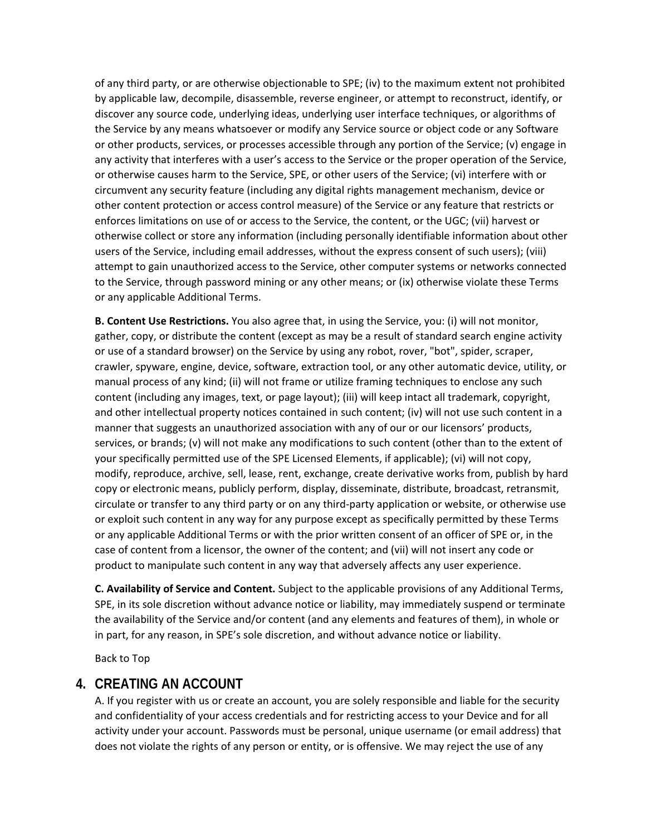of any third party, or are otherwise objectionable to SPE; (iv) to the maximum extent not prohibited by applicable law, decompile, disassemble, reverse engineer, or attempt to reconstruct, identify, or discover any source code, underlying ideas, underlying user interface techniques, or algorithms of the Service by any means whatsoever or modify any Service source or object code or any Software or other products, services, or processes accessible through any portion of the Service; (v) engage in any activity that interferes with a user's access to the Service or the proper operation of the Service, or otherwise causes harm to the Service, SPE, or other users of the Service; (vi) interfere with or circumvent any security feature (including any digital rights management mechanism, device or other content protection or access control measure) of the Service or any feature that restricts or enforces limitations on use of or access to the Service, the content, or the UGC; (vii) harvest or otherwise collect or store any information (including personally identifiable information about other users of the Service, including email addresses, without the express consent of such users); (viii) attempt to gain unauthorized access to the Service, other computer systems or networks connected to the Service, through password mining or any other means; or (ix) otherwise violate these Terms or any applicable Additional Terms.

**B. Content Use Restrictions.** You also agree that, in using the Service, you: (i) will not monitor, gather, copy, or distribute the content (except as may be a result of standard search engine activity or use of a standard browser) on the Service by using any robot, rover, "bot", spider, scraper, crawler, spyware, engine, device, software, extraction tool, or any other automatic device, utility, or manual process of any kind; (ii) will not frame or utilize framing techniques to enclose any such content (including any images, text, or page layout); (iii) will keep intact all trademark, copyright, and other intellectual property notices contained in such content; (iv) will not use such content in a manner that suggests an unauthorized association with any of our or our licensors' products, services, or brands; (v) will not make any modifications to such content (other than to the extent of your specifically permitted use of the SPE Licensed Elements, if applicable); (vi) will not copy, modify, reproduce, archive, sell, lease, rent, exchange, create derivative works from, publish by hard copy or electronic means, publicly perform, display, disseminate, distribute, broadcast, retransmit, circulate or transfer to any third party or on any third-party application or website, or otherwise use or exploit such content in any way for any purpose except as specifically permitted by these Terms or any applicable Additional Terms or with the prior written consent of an officer of SPE or, in the case of content from a licensor, the owner of the content; and (vii) will not insert any code or product to manipulate such content in any way that adversely affects any user experience.

**C. Availability of Service and Content.** Subject to the applicable provisions of any Additional Terms, SPE, in its sole discretion without advance notice or liability, may immediately suspend or terminate the availability of the Service and/or content (and any elements and features of them), in whole or in part, for any reason, in SPE's sole discretion, and without advance notice or liability.

[Back to Top](https://www.sonypictures.com/corp/tos.html#backtotop)

### **4. CREATING AN ACCOUNT**

A. If you register with us or create an account, you are solely responsible and liable for the security and confidentiality of your access credentials and for restricting access to your Device and for all activity under your account. Passwords must be personal, unique username (or email address) that does not violate the rights of any person or entity, or is offensive. We may reject the use of any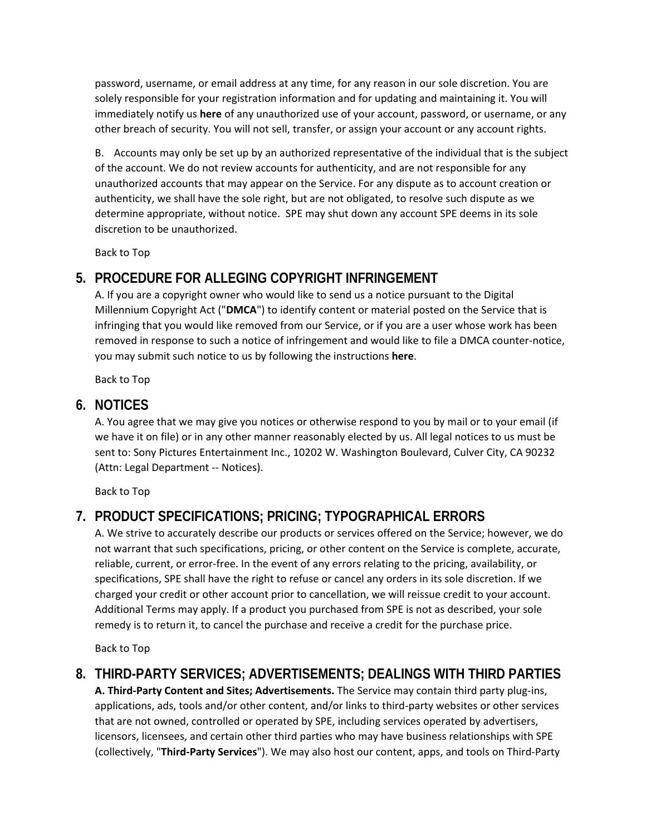password, username, or email address at any time, for any reason in our sole discretion. You are solely responsible for your registration information and for updating and maintaining it. You will immediately notify us **[here](https://secure.sonypictures.com/corp/contactus.html)** of any unauthorized use of your account, password, or username, or any other breach of security. You will not sell, transfer, or assign your account or any account rights.

B. Accounts may only be set up by an authorized representative of the individual that is the subject of the account. We do not review accounts for authenticity, and are not responsible for any unauthorized accounts that may appear on the Service. For any dispute as to account creation or authenticity, we shall have the sole right, but are not obligated, to resolve such dispute as we determine appropriate, without notice. SPE may shut down any account SPE deems in its sole discretion to be unauthorized.

[Back to Top](https://www.sonypictures.com/corp/tos.html#backtotop)

## **5. PROCEDURE FOR ALLEGING COPYRIGHT INFRINGEMENT**

A. If you are a copyright owner who would like to send us a notice pursuant to the Digital Millennium Copyright Act ("**DMCA**") to identify content or material posted on the Service that is infringing that you would like removed from our Service, or if you are a user whose work has been removed in response to such a notice of infringement and would like to file a DMCA counter-notice, you may submit such notice to us by following the instructions **[here](http://sonypictures.com/corp/dcma_contact.html)**.

[Back to Top](https://www.sonypictures.com/corp/tos.html#backtotop)

## **6. NOTICES**

A. You agree that we may give you notices or otherwise respond to you by mail or to your email (if we have it on file) or in any other manner reasonably elected by us. All legal notices to us must be sent to: Sony Pictures Entertainment Inc., 10202 W. Washington Boulevard, Culver City, CA 90232 (Attn: Legal Department -- Notices).

[Back to Top](https://www.sonypictures.com/corp/tos.html#backtotop)

# **7. PRODUCT SPECIFICATIONS; PRICING; TYPOGRAPHICAL ERRORS**

A. We strive to accurately describe our products or services offered on the Service; however, we do not warrant that such specifications, pricing, or other content on the Service is complete, accurate, reliable, current, or error-free. In the event of any errors relating to the pricing, availability, or specifications, SPE shall have the right to refuse or cancel any orders in its sole discretion. If we charged your credit or other account prior to cancellation, we will reissue credit to your account. Additional Terms may apply. If a product you purchased from SPE is not as described, your sole remedy is to return it, to cancel the purchase and receive a credit for the purchase price.

[Back to Top](https://www.sonypictures.com/corp/tos.html#backtotop)

## **8. THIRD-PARTY SERVICES; ADVERTISEMENTS; DEALINGS WITH THIRD PARTIES**

**A. Third-Party Content and Sites; Advertisements.** The Service may contain third party plug-ins, applications, ads, tools and/or other content, and/or links to third-party websites or other services that are not owned, controlled or operated by SPE, including services operated by advertisers, licensors, licensees, and certain other third parties who may have business relationships with SPE (collectively, "**Third-Party Services**"). We may also host our content, apps, and tools on Third-Party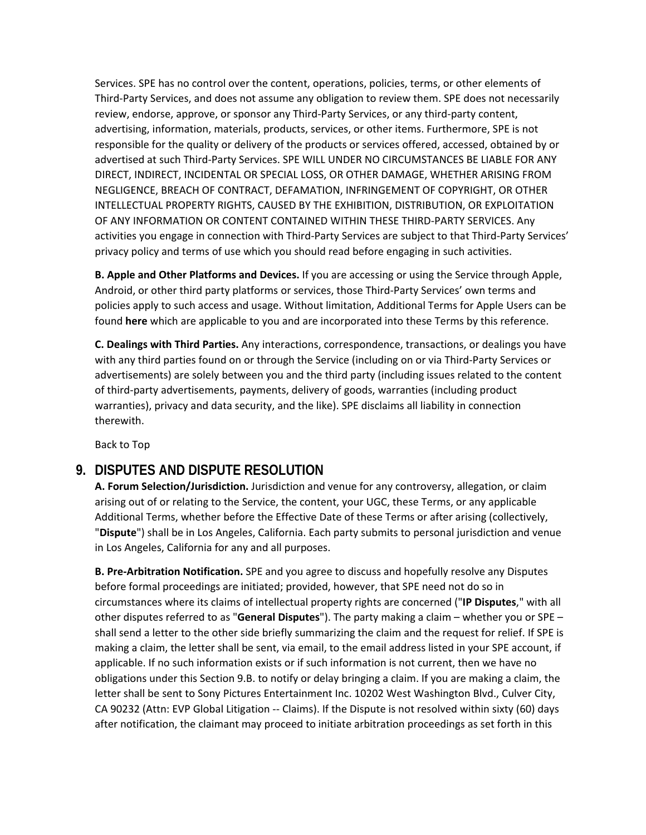Services. SPE has no control over the content, operations, policies, terms, or other elements of Third-Party Services, and does not assume any obligation to review them. SPE does not necessarily review, endorse, approve, or sponsor any Third-Party Services, or any third-party content, advertising, information, materials, products, services, or other items. Furthermore, SPE is not responsible for the quality or delivery of the products or services offered, accessed, obtained by or advertised at such Third-Party Services. SPE WILL UNDER NO CIRCUMSTANCES BE LIABLE FOR ANY DIRECT, INDIRECT, INCIDENTAL OR SPECIAL LOSS, OR OTHER DAMAGE, WHETHER ARISING FROM NEGLIGENCE, BREACH OF CONTRACT, DEFAMATION, INFRINGEMENT OF COPYRIGHT, OR OTHER INTELLECTUAL PROPERTY RIGHTS, CAUSED BY THE EXHIBITION, DISTRIBUTION, OR EXPLOITATION OF ANY INFORMATION OR CONTENT CONTAINED WITHIN THESE THIRD-PARTY SERVICES. Any activities you engage in connection with Third-Party Services are subject to that Third-Party Services' privacy policy and terms of use which you should read before engaging in such activities.

**B. Apple and Other Platforms and Devices.** If you are accessing or using the Service through Apple, Android, or other third party platforms or services, those Third-Party Services' own terms and policies apply to such access and usage. Without limitation, Additional Terms for Apple Users can be found **[here](http://www.apple.com/legal/internet-services/itunes/us/terms.html)** which are applicable to you and are incorporated into these Terms by this reference.

**C. Dealings with Third Parties.** Any interactions, correspondence, transactions, or dealings you have with any third parties found on or through the Service (including on or via Third-Party Services or advertisements) are solely between you and the third party (including issues related to the content of third-party advertisements, payments, delivery of goods, warranties (including product warranties), privacy and data security, and the like). SPE disclaims all liability in connection therewith.

[Back to Top](https://www.sonypictures.com/corp/tos.html#backtotop)

### **9. DISPUTES AND DISPUTE RESOLUTION**

**A. Forum Selection/Jurisdiction.** Jurisdiction and venue for any controversy, allegation, or claim arising out of or relating to the Service, the content, your UGC, these Terms, or any applicable Additional Terms, whether before the Effective Date of these Terms or after arising (collectively, "**Dispute**") shall be in Los Angeles, California. Each party submits to personal jurisdiction and venue in Los Angeles, California for any and all purposes.

**B. Pre-Arbitration Notification.** SPE and you agree to discuss and hopefully resolve any Disputes before formal proceedings are initiated; provided, however, that SPE need not do so in circumstances where its claims of intellectual property rights are concerned ("**IP Disputes**," with all other disputes referred to as "**General Disputes**"). The party making a claim – whether you or SPE – shall send a letter to the other side briefly summarizing the claim and the request for relief. If SPE is making a claim, the letter shall be sent, via email, to the email address listed in your SPE account, if applicable. If no such information exists or if such information is not current, then we have no obligations under this Section 9.B. to notify or delay bringing a claim. If you are making a claim, the letter shall be sent to Sony Pictures Entertainment Inc. 10202 West Washington Blvd., Culver City, CA 90232 (Attn: EVP Global Litigation -- Claims). If the Dispute is not resolved within sixty (60) days after notification, the claimant may proceed to initiate arbitration proceedings as set forth in this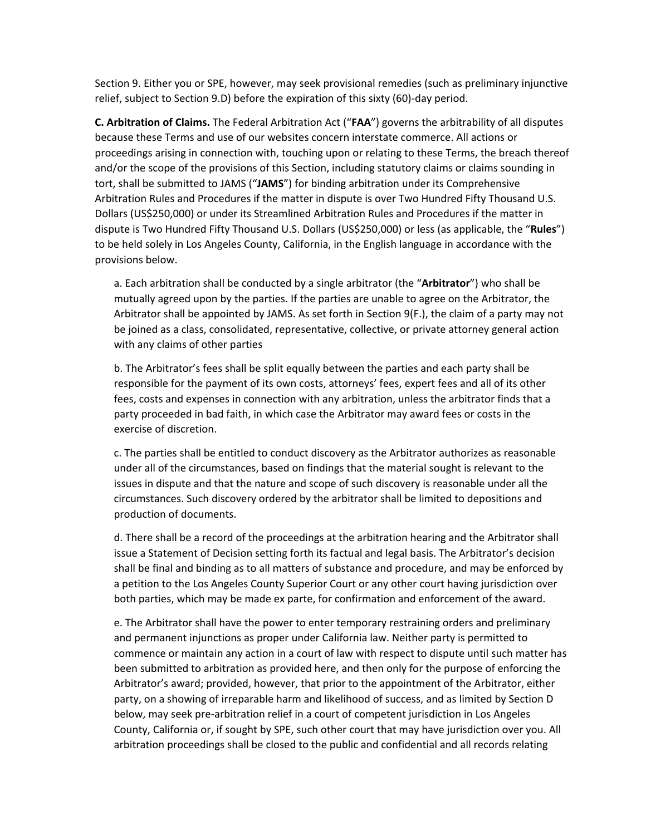Section 9. Either you or SPE, however, may seek provisional remedies (such as preliminary injunctive relief, subject to Section 9.D) before the expiration of this sixty (60)-day period.

**C. Arbitration of Claims.** The Federal Arbitration Act ("**FAA**") governs the arbitrability of all disputes because these Terms and use of our websites concern interstate commerce. All actions or proceedings arising in connection with, touching upon or relating to these Terms, the breach thereof and/or the scope of the provisions of this Section, including statutory claims or claims sounding in tort, shall be submitted to JAMS ("**JAMS**") for binding arbitration under its Comprehensive Arbitration Rules and Procedures if the matter in dispute is over Two Hundred Fifty Thousand U.S. Dollars (US\$250,000) or under its Streamlined Arbitration Rules and Procedures if the matter in dispute is Two Hundred Fifty Thousand U.S. Dollars (US\$250,000) or less (as applicable, the "**Rules**") to be held solely in Los Angeles County, California, in the English language in accordance with the provisions below.

a. Each arbitration shall be conducted by a single arbitrator (the "**Arbitrator**") who shall be mutually agreed upon by the parties. If the parties are unable to agree on the Arbitrator, the Arbitrator shall be appointed by JAMS. As set forth in Section 9(F.), the claim of a party may not be joined as a class, consolidated, representative, collective, or private attorney general action with any claims of other parties

b. The Arbitrator's fees shall be split equally between the parties and each party shall be responsible for the payment of its own costs, attorneys' fees, expert fees and all of its other fees, costs and expenses in connection with any arbitration, unless the arbitrator finds that a party proceeded in bad faith, in which case the Arbitrator may award fees or costs in the exercise of discretion.

c. The parties shall be entitled to conduct discovery as the Arbitrator authorizes as reasonable under all of the circumstances, based on findings that the material sought is relevant to the issues in dispute and that the nature and scope of such discovery is reasonable under all the circumstances. Such discovery ordered by the arbitrator shall be limited to depositions and production of documents.

d. There shall be a record of the proceedings at the arbitration hearing and the Arbitrator shall issue a Statement of Decision setting forth its factual and legal basis. The Arbitrator's decision shall be final and binding as to all matters of substance and procedure, and may be enforced by a petition to the Los Angeles County Superior Court or any other court having jurisdiction over both parties, which may be made ex parte, for confirmation and enforcement of the award.

e. The Arbitrator shall have the power to enter temporary restraining orders and preliminary and permanent injunctions as proper under California law. Neither party is permitted to commence or maintain any action in a court of law with respect to dispute until such matter has been submitted to arbitration as provided here, and then only for the purpose of enforcing the Arbitrator's award; provided, however, that prior to the appointment of the Arbitrator, either party, on a showing of irreparable harm and likelihood of success, and as limited by Section D below, may seek pre-arbitration relief in a court of competent jurisdiction in Los Angeles County, California or, if sought by SPE, such other court that may have jurisdiction over you. All arbitration proceedings shall be closed to the public and confidential and all records relating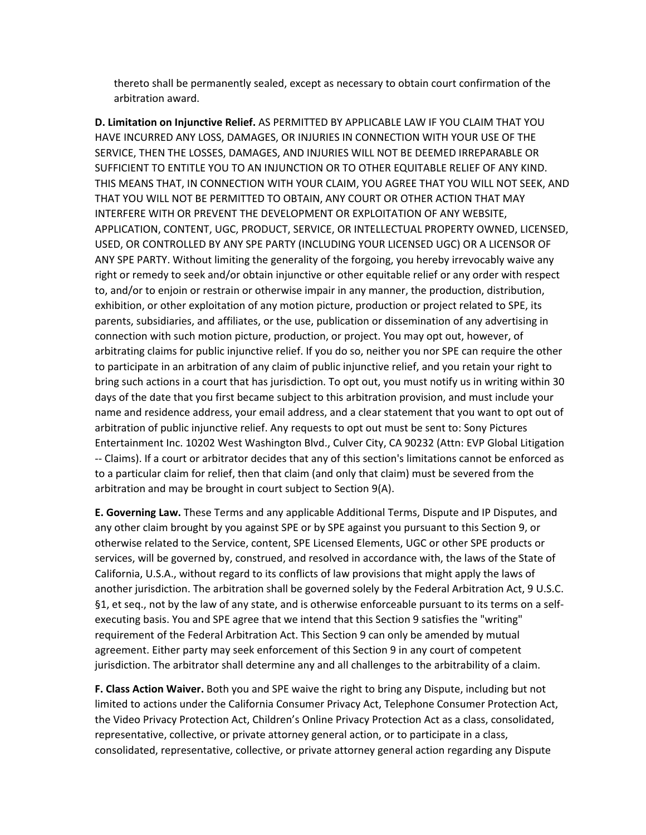thereto shall be permanently sealed, except as necessary to obtain court confirmation of the arbitration award.

**D. Limitation on Injunctive Relief.** AS PERMITTED BY APPLICABLE LAW IF YOU CLAIM THAT YOU HAVE INCURRED ANY LOSS, DAMAGES, OR INJURIES IN CONNECTION WITH YOUR USE OF THE SERVICE, THEN THE LOSSES, DAMAGES, AND INJURIES WILL NOT BE DEEMED IRREPARABLE OR SUFFICIENT TO ENTITLE YOU TO AN INJUNCTION OR TO OTHER EQUITABLE RELIEF OF ANY KIND. THIS MEANS THAT, IN CONNECTION WITH YOUR CLAIM, YOU AGREE THAT YOU WILL NOT SEEK, AND THAT YOU WILL NOT BE PERMITTED TO OBTAIN, ANY COURT OR OTHER ACTION THAT MAY INTERFERE WITH OR PREVENT THE DEVELOPMENT OR EXPLOITATION OF ANY WEBSITE, APPLICATION, CONTENT, UGC, PRODUCT, SERVICE, OR INTELLECTUAL PROPERTY OWNED, LICENSED, USED, OR CONTROLLED BY ANY SPE PARTY (INCLUDING YOUR LICENSED UGC) OR A LICENSOR OF ANY SPE PARTY. Without limiting the generality of the forgoing, you hereby irrevocably waive any right or remedy to seek and/or obtain injunctive or other equitable relief or any order with respect to, and/or to enjoin or restrain or otherwise impair in any manner, the production, distribution, exhibition, or other exploitation of any motion picture, production or project related to SPE, its parents, subsidiaries, and affiliates, or the use, publication or dissemination of any advertising in connection with such motion picture, production, or project. You may opt out, however, of arbitrating claims for public injunctive relief. If you do so, neither you nor SPE can require the other to participate in an arbitration of any claim of public injunctive relief, and you retain your right to bring such actions in a court that has jurisdiction. To opt out, you must notify us in writing within 30 days of the date that you first became subject to this arbitration provision, and must include your name and residence address, your email address, and a clear statement that you want to opt out of arbitration of public injunctive relief. Any requests to opt out must be sent to: Sony Pictures Entertainment Inc. 10202 West Washington Blvd., Culver City, CA 90232 (Attn: EVP Global Litigation -- Claims). If a court or arbitrator decides that any of this section's limitations cannot be enforced as to a particular claim for relief, then that claim (and only that claim) must be severed from the arbitration and may be brought in court subject to Section 9(A).

**E. Governing Law.** These Terms and any applicable Additional Terms, Dispute and IP Disputes, and any other claim brought by you against SPE or by SPE against you pursuant to this Section 9, or otherwise related to the Service, content, SPE Licensed Elements, UGC or other SPE products or services, will be governed by, construed, and resolved in accordance with, the laws of the State of California, U.S.A., without regard to its conflicts of law provisions that might apply the laws of another jurisdiction. The arbitration shall be governed solely by the Federal Arbitration Act, 9 U.S.C. §1, et seq., not by the law of any state, and is otherwise enforceable pursuant to its terms on a selfexecuting basis. You and SPE agree that we intend that this Section 9 satisfies the "writing" requirement of the Federal Arbitration Act. This Section 9 can only be amended by mutual agreement. Either party may seek enforcement of this Section 9 in any court of competent jurisdiction. The arbitrator shall determine any and all challenges to the arbitrability of a claim.

**F. Class Action Waiver.** Both you and SPE waive the right to bring any Dispute, including but not limited to actions under the California Consumer Privacy Act, Telephone Consumer Protection Act, the Video Privacy Protection Act, Children's Online Privacy Protection Act as a class, consolidated, representative, collective, or private attorney general action, or to participate in a class, consolidated, representative, collective, or private attorney general action regarding any Dispute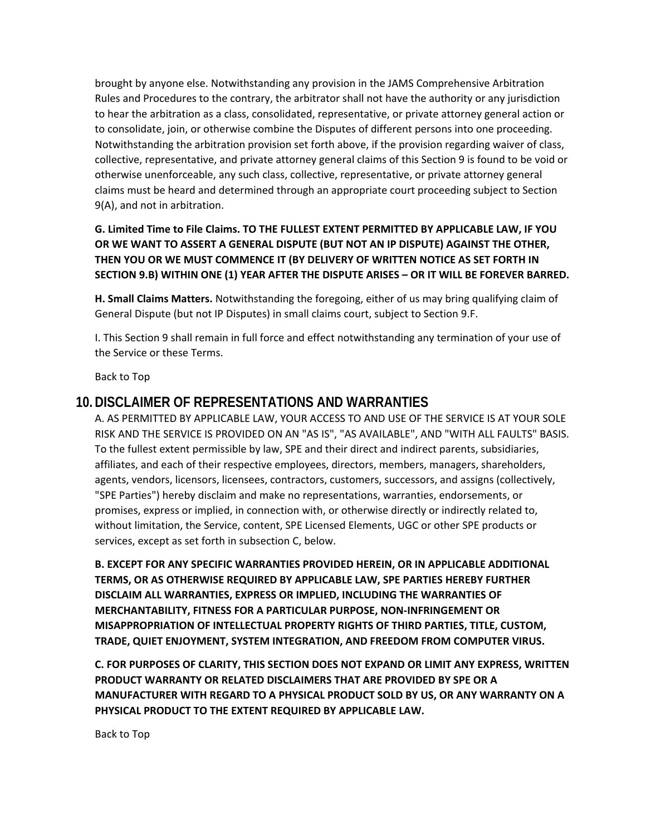brought by anyone else. Notwithstanding any provision in the JAMS Comprehensive Arbitration Rules and Procedures to the contrary, the arbitrator shall not have the authority or any jurisdiction to hear the arbitration as a class, consolidated, representative, or private attorney general action or to consolidate, join, or otherwise combine the Disputes of different persons into one proceeding. Notwithstanding the arbitration provision set forth above, if the provision regarding waiver of class, collective, representative, and private attorney general claims of this Section 9 is found to be void or otherwise unenforceable, any such class, collective, representative, or private attorney general claims must be heard and determined through an appropriate court proceeding subject to Section 9(A), and not in arbitration.

#### **G. Limited Time to File Claims. TO THE FULLEST EXTENT PERMITTED BY APPLICABLE LAW, IF YOU OR WE WANT TO ASSERT A GENERAL DISPUTE (BUT NOT AN IP DISPUTE) AGAINST THE OTHER, THEN YOU OR WE MUST COMMENCE IT (BY DELIVERY OF WRITTEN NOTICE AS SET FORTH IN SECTION 9.B) WITHIN ONE (1) YEAR AFTER THE DISPUTE ARISES – OR IT WILL BE FOREVER BARRED.**

**H. Small Claims Matters.** Notwithstanding the foregoing, either of us may bring qualifying claim of General Dispute (but not IP Disputes) in small claims court, subject to Section 9.F.

I. This Section 9 shall remain in full force and effect notwithstanding any termination of your use of the Service or these Terms.

[Back to Top](https://www.sonypictures.com/corp/tos.html#backtotop)

## **10. DISCLAIMER OF REPRESENTATIONS AND WARRANTIES**

A. AS PERMITTED BY APPLICABLE LAW, YOUR ACCESS TO AND USE OF THE SERVICE IS AT YOUR SOLE RISK AND THE SERVICE IS PROVIDED ON AN "AS IS", "AS AVAILABLE", AND "WITH ALL FAULTS" BASIS. To the fullest extent permissible by law, SPE and their direct and indirect parents, subsidiaries, affiliates, and each of their respective employees, directors, members, managers, shareholders, agents, vendors, licensors, licensees, contractors, customers, successors, and assigns (collectively, "SPE Parties") hereby disclaim and make no representations, warranties, endorsements, or promises, express or implied, in connection with, or otherwise directly or indirectly related to, without limitation, the Service, content, SPE Licensed Elements, UGC or other SPE products or services, except as set forth in subsection C, below.

**B. EXCEPT FOR ANY SPECIFIC WARRANTIES PROVIDED HEREIN, OR IN APPLICABLE ADDITIONAL TERMS, OR AS OTHERWISE REQUIRED BY APPLICABLE LAW, SPE PARTIES HEREBY FURTHER DISCLAIM ALL WARRANTIES, EXPRESS OR IMPLIED, INCLUDING THE WARRANTIES OF MERCHANTABILITY, FITNESS FOR A PARTICULAR PURPOSE, NON-INFRINGEMENT OR MISAPPROPRIATION OF INTELLECTUAL PROPERTY RIGHTS OF THIRD PARTIES, TITLE, CUSTOM, TRADE, QUIET ENJOYMENT, SYSTEM INTEGRATION, AND FREEDOM FROM COMPUTER VIRUS.** 

**C. FOR PURPOSES OF CLARITY, THIS SECTION DOES NOT EXPAND OR LIMIT ANY EXPRESS, WRITTEN PRODUCT WARRANTY OR RELATED DISCLAIMERS THAT ARE PROVIDED BY SPE OR A MANUFACTURER WITH REGARD TO A PHYSICAL PRODUCT SOLD BY US, OR ANY WARRANTY ON A PHYSICAL PRODUCT TO THE EXTENT REQUIRED BY APPLICABLE LAW.**

[Back to Top](https://www.sonypictures.com/corp/tos.html#backtotop)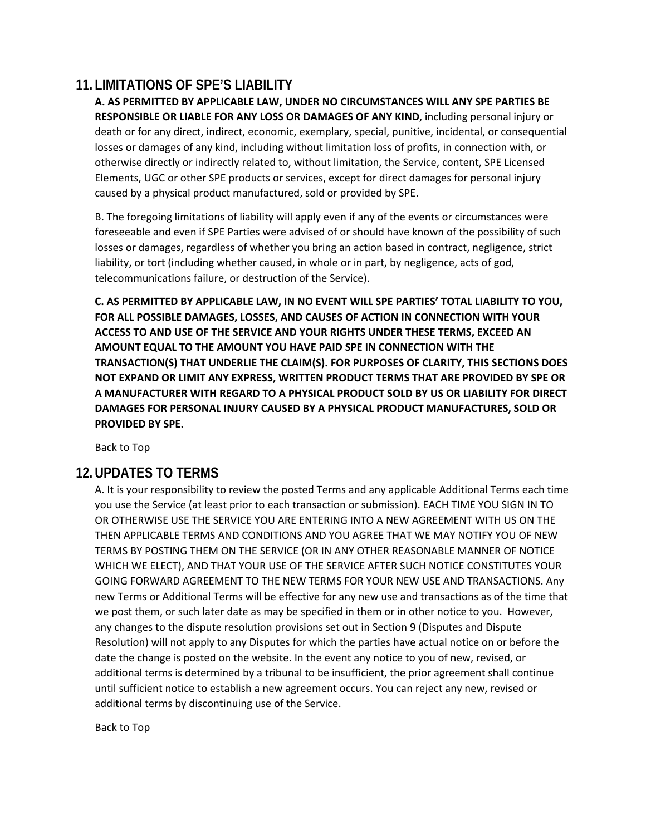## **11. LIMITATIONS OF SPE'S LIABILITY**

**A. AS PERMITTED BY APPLICABLE LAW, UNDER NO CIRCUMSTANCES WILL ANY SPE PARTIES BE RESPONSIBLE OR LIABLE FOR ANY LOSS OR DAMAGES OF ANY KIND**, including personal injury or death or for any direct, indirect, economic, exemplary, special, punitive, incidental, or consequential losses or damages of any kind, including without limitation loss of profits, in connection with, or otherwise directly or indirectly related to, without limitation, the Service, content, SPE Licensed Elements, UGC or other SPE products or services, except for direct damages for personal injury caused by a physical product manufactured, sold or provided by SPE.

B. The foregoing limitations of liability will apply even if any of the events or circumstances were foreseeable and even if SPE Parties were advised of or should have known of the possibility of such losses or damages, regardless of whether you bring an action based in contract, negligence, strict liability, or tort (including whether caused, in whole or in part, by negligence, acts of god, telecommunications failure, or destruction of the Service).

**C. AS PERMITTED BY APPLICABLE LAW, IN NO EVENT WILL SPE PARTIES' TOTAL LIABILITY TO YOU, FOR ALL POSSIBLE DAMAGES, LOSSES, AND CAUSES OF ACTION IN CONNECTION WITH YOUR ACCESS TO AND USE OF THE SERVICE AND YOUR RIGHTS UNDER THESE TERMS, EXCEED AN AMOUNT EQUAL TO THE AMOUNT YOU HAVE PAID SPE IN CONNECTION WITH THE TRANSACTION(S) THAT UNDERLIE THE CLAIM(S). FOR PURPOSES OF CLARITY, THIS SECTIONS DOES NOT EXPAND OR LIMIT ANY EXPRESS, WRITTEN PRODUCT TERMS THAT ARE PROVIDED BY SPE OR A MANUFACTURER WITH REGARD TO A PHYSICAL PRODUCT SOLD BY US OR LIABILITY FOR DIRECT DAMAGES FOR PERSONAL INJURY CAUSED BY A PHYSICAL PRODUCT MANUFACTURES, SOLD OR PROVIDED BY SPE.**

[Back to Top](https://www.sonypictures.com/corp/tos.html#backtotop)

### **12. UPDATES TO TERMS**

A. It is your responsibility to review the posted Terms and any applicable Additional Terms each time you use the Service (at least prior to each transaction or submission). EACH TIME YOU SIGN IN TO OR OTHERWISE USE THE SERVICE YOU ARE ENTERING INTO A NEW AGREEMENT WITH US ON THE THEN APPLICABLE TERMS AND CONDITIONS AND YOU AGREE THAT WE MAY NOTIFY YOU OF NEW TERMS BY POSTING THEM ON THE SERVICE (OR IN ANY OTHER REASONABLE MANNER OF NOTICE WHICH WE ELECT), AND THAT YOUR USE OF THE SERVICE AFTER SUCH NOTICE CONSTITUTES YOUR GOING FORWARD AGREEMENT TO THE NEW TERMS FOR YOUR NEW USE AND TRANSACTIONS. Any new Terms or Additional Terms will be effective for any new use and transactions as of the time that we post them, or such later date as may be specified in them or in other notice to you. However, any changes to the dispute resolution provisions set out in Section 9 (Disputes and Dispute Resolution) will not apply to any Disputes for which the parties have actual notice on or before the date the change is posted on the website. In the event any notice to you of new, revised, or additional terms is determined by a tribunal to be insufficient, the prior agreement shall continue until sufficient notice to establish a new agreement occurs. You can reject any new, revised or additional terms by discontinuing use of the Service.

[Back to Top](https://www.sonypictures.com/corp/tos.html#backtotop)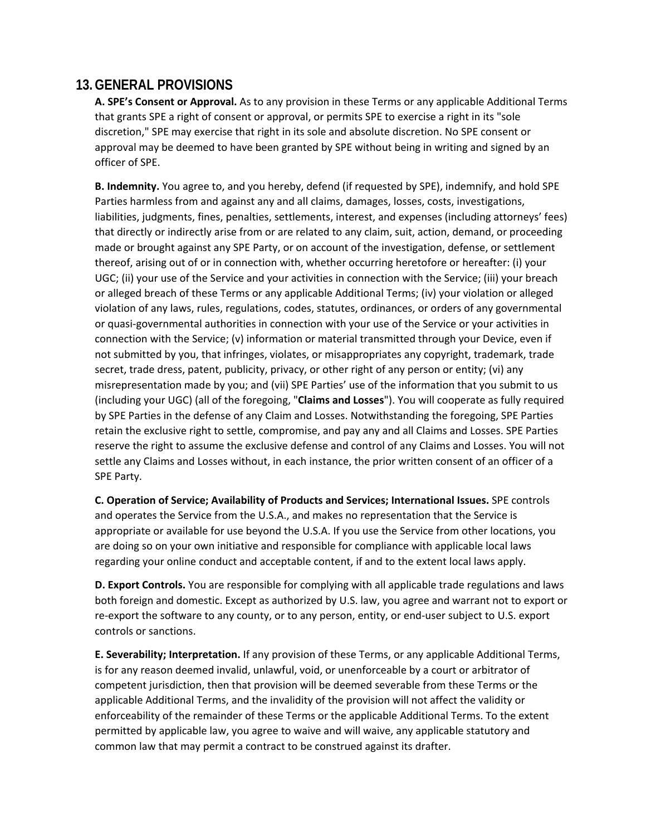## **13.GENERAL PROVISIONS**

**A. SPE's Consent or Approval.** As to any provision in these Terms or any applicable Additional Terms that grants SPE a right of consent or approval, or permits SPE to exercise a right in its "sole discretion," SPE may exercise that right in its sole and absolute discretion. No SPE consent or approval may be deemed to have been granted by SPE without being in writing and signed by an officer of SPE.

**B. Indemnity.** You agree to, and you hereby, defend (if requested by SPE), indemnify, and hold SPE Parties harmless from and against any and all claims, damages, losses, costs, investigations, liabilities, judgments, fines, penalties, settlements, interest, and expenses (including attorneys' fees) that directly or indirectly arise from or are related to any claim, suit, action, demand, or proceeding made or brought against any SPE Party, or on account of the investigation, defense, or settlement thereof, arising out of or in connection with, whether occurring heretofore or hereafter: (i) your UGC; (ii) your use of the Service and your activities in connection with the Service; (iii) your breach or alleged breach of these Terms or any applicable Additional Terms; (iv) your violation or alleged violation of any laws, rules, regulations, codes, statutes, ordinances, or orders of any governmental or quasi-governmental authorities in connection with your use of the Service or your activities in connection with the Service; (v) information or material transmitted through your Device, even if not submitted by you, that infringes, violates, or misappropriates any copyright, trademark, trade secret, trade dress, patent, publicity, privacy, or other right of any person or entity; (vi) any misrepresentation made by you; and (vii) SPE Parties' use of the information that you submit to us (including your UGC) (all of the foregoing, "**Claims and Losses**"). You will cooperate as fully required by SPE Parties in the defense of any Claim and Losses. Notwithstanding the foregoing, SPE Parties retain the exclusive right to settle, compromise, and pay any and all Claims and Losses. SPE Parties reserve the right to assume the exclusive defense and control of any Claims and Losses. You will not settle any Claims and Losses without, in each instance, the prior written consent of an officer of a SPE Party.

**C. Operation of Service; Availability of Products and Services; International Issues.** SPE controls and operates the Service from the U.S.A., and makes no representation that the Service is appropriate or available for use beyond the U.S.A. If you use the Service from other locations, you are doing so on your own initiative and responsible for compliance with applicable local laws regarding your online conduct and acceptable content, if and to the extent local laws apply.

**D. Export Controls.** You are responsible for complying with all applicable trade regulations and laws both foreign and domestic. Except as authorized by U.S. law, you agree and warrant not to export or re-export the software to any county, or to any person, entity, or end-user subject to U.S. export controls or sanctions.

**E. Severability; Interpretation.** If any provision of these Terms, or any applicable Additional Terms, is for any reason deemed invalid, unlawful, void, or unenforceable by a court or arbitrator of competent jurisdiction, then that provision will be deemed severable from these Terms or the applicable Additional Terms, and the invalidity of the provision will not affect the validity or enforceability of the remainder of these Terms or the applicable Additional Terms. To the extent permitted by applicable law, you agree to waive and will waive, any applicable statutory and common law that may permit a contract to be construed against its drafter.